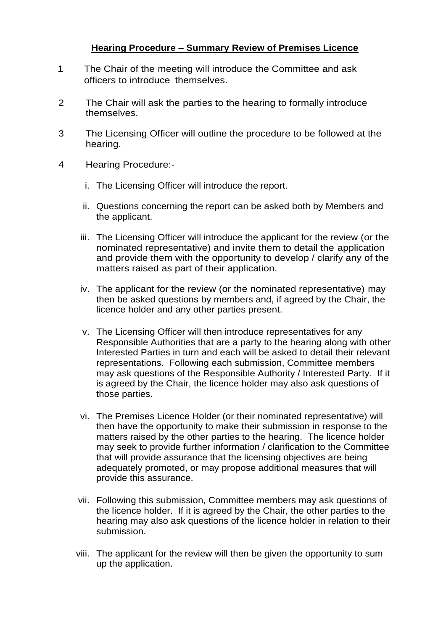# **Hearing Procedure – Summary Review of Premises Licence**

- 1 The Chair of the meeting will introduce the Committee and ask officers to introduce themselves.
- 2 The Chair will ask the parties to the hearing to formally introduce themselves.
- 3 The Licensing Officer will outline the procedure to be followed at the hearing.
- 4 Hearing Procedure:
	- i. The Licensing Officer will introduce the report.
	- ii. Questions concerning the report can be asked both by Members and the applicant.
	- iii. The Licensing Officer will introduce the applicant for the review (or the nominated representative) and invite them to detail the application and provide them with the opportunity to develop / clarify any of the matters raised as part of their application.
	- iv. The applicant for the review (or the nominated representative) may then be asked questions by members and, if agreed by the Chair, the licence holder and any other parties present.
	- v. The Licensing Officer will then introduce representatives for any Responsible Authorities that are a party to the hearing along with other Interested Parties in turn and each will be asked to detail their relevant representations. Following each submission, Committee members may ask questions of the Responsible Authority / Interested Party. If it is agreed by the Chair, the licence holder may also ask questions of those parties.
	- vi. The Premises Licence Holder (or their nominated representative) will then have the opportunity to make their submission in response to the matters raised by the other parties to the hearing. The licence holder may seek to provide further information / clarification to the Committee that will provide assurance that the licensing objectives are being adequately promoted, or may propose additional measures that will provide this assurance.
	- vii. Following this submission, Committee members may ask questions of the licence holder. If it is agreed by the Chair, the other parties to the hearing may also ask questions of the licence holder in relation to their submission.
	- viii. The applicant for the review will then be given the opportunity to sum up the application.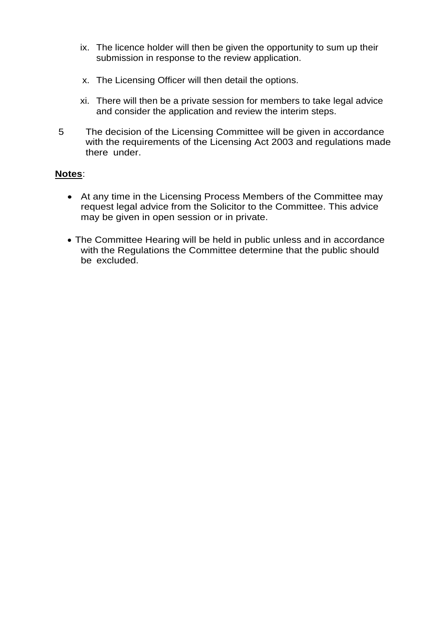- ix. The licence holder will then be given the opportunity to sum up their submission in response to the review application.
- x. The Licensing Officer will then detail the options.
- xi. There will then be a private session for members to take legal advice and consider the application and review the interim steps.
- 5 The decision of the Licensing Committee will be given in accordance with the requirements of the Licensing Act 2003 and regulations made there under.

## **Notes**:

- At any time in the Licensing Process Members of the Committee may request legal advice from the Solicitor to the Committee. This advice may be given in open session or in private.
- The Committee Hearing will be held in public unless and in accordance with the Regulations the Committee determine that the public should be excluded.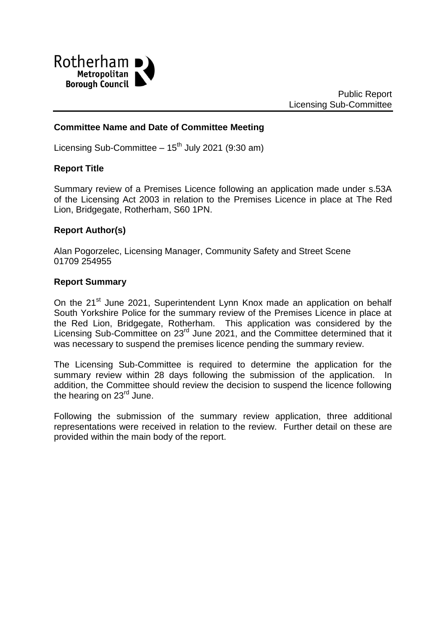

### **Committee Name and Date of Committee Meeting**

Licensing Sub-Committee  $-15^{th}$  July 2021 (9:30 am)

#### **Report Title**

Summary review of a Premises Licence following an application made under s.53A of the Licensing Act 2003 in relation to the Premises Licence in place at The Red Lion, Bridgegate, Rotherham, S60 1PN.

#### **Report Author(s)**

Alan Pogorzelec, Licensing Manager, Community Safety and Street Scene 01709 254955

#### **Report Summary**

On the 21<sup>st</sup> June 2021, Superintendent Lynn Knox made an application on behalf South Yorkshire Police for the summary review of the Premises Licence in place at the Red Lion, Bridgegate, Rotherham. This application was considered by the Licensing Sub-Committee on 23<sup>rd</sup> June 2021, and the Committee determined that it was necessary to suspend the premises licence pending the summary review.

The Licensing Sub-Committee is required to determine the application for the summary review within 28 days following the submission of the application. In addition, the Committee should review the decision to suspend the licence following the hearing on 23<sup>rd</sup> June.

Following the submission of the summary review application, three additional representations were received in relation to the review. Further detail on these are provided within the main body of the report.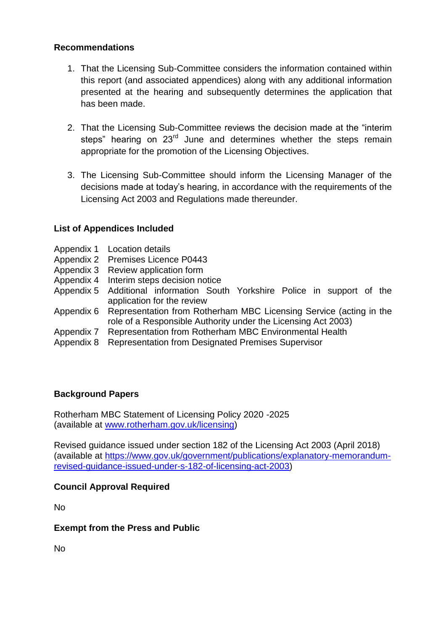### **Recommendations**

- 1. That the Licensing Sub-Committee considers the information contained within this report (and associated appendices) along with any additional information presented at the hearing and subsequently determines the application that has been made.
- 2. That the Licensing Sub-Committee reviews the decision made at the "interim steps" hearing on 23<sup>rd</sup> June and determines whether the steps remain appropriate for the promotion of the Licensing Objectives.
- 3. The Licensing Sub-Committee should inform the Licensing Manager of the decisions made at today's hearing, in accordance with the requirements of the Licensing Act 2003 and Regulations made thereunder.

## **List of Appendices Included**

- Appendix 1 Location details
- Appendix 2 Premises Licence P0443
- Appendix 3 Review application form
- Appendix 4 Interim steps decision notice
- Appendix 5 Additional information South Yorkshire Police in support of the application for the review
- Appendix 6 Representation from Rotherham MBC Licensing Service (acting in the role of a Responsible Authority under the Licensing Act 2003)
- Appendix 7 Representation from Rotherham MBC Environmental Health
- Appendix 8 Representation from Designated Premises Supervisor

## **Background Papers**

Rotherham MBC Statement of Licensing Policy 2020 -2025 (available at [www.rotherham.gov.uk/licensing\)](http://www.rotherham.gov.uk/licensing)

Revised guidance issued under section 182 of the Licensing Act 2003 (April 2018) (available at [https://www.gov.uk/government/publications/explanatory-memorandum](https://www.gov.uk/government/publications/explanatory-memorandum-revised-guidance-issued-under-s-182-of-licensing-act-2003)[revised-guidance-issued-under-s-182-of-licensing-act-2003\)](https://www.gov.uk/government/publications/explanatory-memorandum-revised-guidance-issued-under-s-182-of-licensing-act-2003)

## **Council Approval Required**

No

## **Exempt from the Press and Public**

No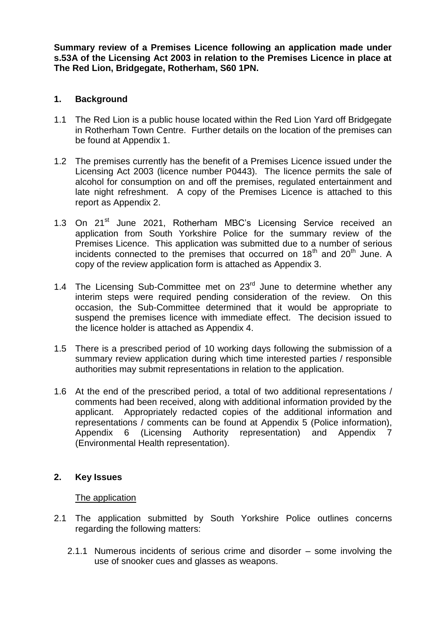**Summary review of a Premises Licence following an application made under s.53A of the Licensing Act 2003 in relation to the Premises Licence in place at The Red Lion, Bridgegate, Rotherham, S60 1PN.**

#### **1. Background**

- 1.1 The Red Lion is a public house located within the Red Lion Yard off Bridgegate in Rotherham Town Centre. Further details on the location of the premises can be found at Appendix 1.
- 1.2 The premises currently has the benefit of a Premises Licence issued under the Licensing Act 2003 (licence number P0443). The licence permits the sale of alcohol for consumption on and off the premises, regulated entertainment and late night refreshment. A copy of the Premises Licence is attached to this report as Appendix 2.
- 1.3 On 21<sup>st</sup> June 2021, Rotherham MBC's Licensing Service received an application from South Yorkshire Police for the summary review of the Premises Licence. This application was submitted due to a number of serious incidents connected to the premises that occurred on  $18<sup>th</sup>$  and  $20<sup>th</sup>$  June. A copy of the review application form is attached as Appendix 3.
- 1.4 The Licensing Sub-Committee met on  $23<sup>rd</sup>$  June to determine whether any interim steps were required pending consideration of the review. On this occasion, the Sub-Committee determined that it would be appropriate to suspend the premises licence with immediate effect. The decision issued to the licence holder is attached as Appendix 4.
- 1.5 There is a prescribed period of 10 working days following the submission of a summary review application during which time interested parties / responsible authorities may submit representations in relation to the application.
- 1.6 At the end of the prescribed period, a total of two additional representations / comments had been received, along with additional information provided by the applicant. Appropriately redacted copies of the additional information and representations / comments can be found at Appendix 5 (Police information), Appendix 6 (Licensing Authority representation) and Appendix 7 (Environmental Health representation).

#### **2. Key Issues**

#### The application

- 2.1 The application submitted by South Yorkshire Police outlines concerns regarding the following matters:
	- 2.1.1 Numerous incidents of serious crime and disorder some involving the use of snooker cues and glasses as weapons.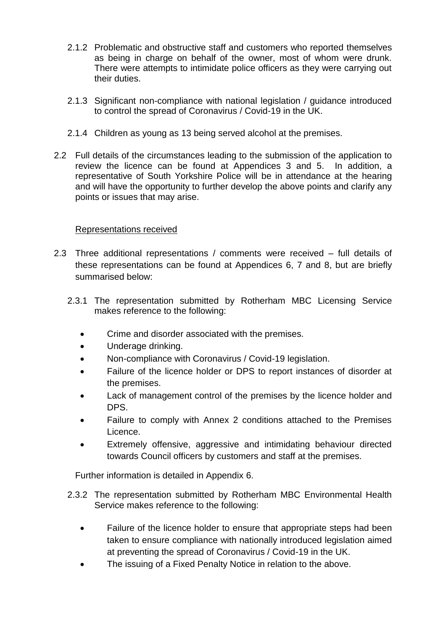- 2.1.2 Problematic and obstructive staff and customers who reported themselves as being in charge on behalf of the owner, most of whom were drunk. There were attempts to intimidate police officers as they were carrying out their duties.
- 2.1.3 Significant non-compliance with national legislation / guidance introduced to control the spread of Coronavirus / Covid-19 in the UK.
- 2.1.4 Children as young as 13 being served alcohol at the premises.
- 2.2 Full details of the circumstances leading to the submission of the application to review the licence can be found at Appendices 3 and 5. In addition, a representative of South Yorkshire Police will be in attendance at the hearing and will have the opportunity to further develop the above points and clarify any points or issues that may arise.

# Representations received

- 2.3 Three additional representations / comments were received full details of these representations can be found at Appendices 6, 7 and 8, but are briefly summarised below:
	- 2.3.1 The representation submitted by Rotherham MBC Licensing Service makes reference to the following:
		- Crime and disorder associated with the premises.
		- Underage drinking.
		- Non-compliance with Coronavirus / Covid-19 legislation.
		- Failure of the licence holder or DPS to report instances of disorder at the premises.
		- Lack of management control of the premises by the licence holder and DPS.
		- Failure to comply with Annex 2 conditions attached to the Premises Licence.
		- Extremely offensive, aggressive and intimidating behaviour directed towards Council officers by customers and staff at the premises.

Further information is detailed in Appendix 6.

- 2.3.2 The representation submitted by Rotherham MBC Environmental Health Service makes reference to the following:
	- Failure of the licence holder to ensure that appropriate steps had been taken to ensure compliance with nationally introduced legislation aimed at preventing the spread of Coronavirus / Covid-19 in the UK.
	- The issuing of a Fixed Penalty Notice in relation to the above.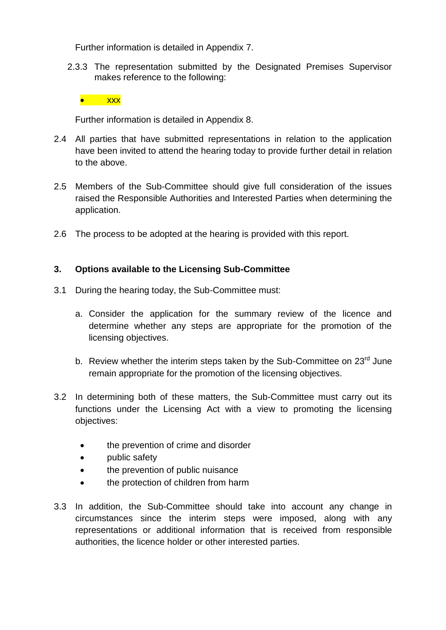Further information is detailed in Appendix 7.

2.3.3 The representation submitted by the Designated Premises Supervisor makes reference to the following:



Further information is detailed in Appendix 8.

- 2.4 All parties that have submitted representations in relation to the application have been invited to attend the hearing today to provide further detail in relation to the above.
- 2.5 Members of the Sub-Committee should give full consideration of the issues raised the Responsible Authorities and Interested Parties when determining the application.
- 2.6 The process to be adopted at the hearing is provided with this report.

# **3. Options available to the Licensing Sub-Committee**

- 3.1 During the hearing today, the Sub-Committee must:
	- a. Consider the application for the summary review of the licence and determine whether any steps are appropriate for the promotion of the licensing objectives.
	- b. Review whether the interim steps taken by the Sub-Committee on  $23<sup>rd</sup>$  June remain appropriate for the promotion of the licensing objectives.
- 3.2 In determining both of these matters, the Sub-Committee must carry out its functions under the Licensing Act with a view to promoting the licensing objectives:
	- the prevention of crime and disorder
	- public safety
	- the prevention of public nuisance
	- the protection of children from harm
- 3.3 In addition, the Sub-Committee should take into account any change in circumstances since the interim steps were imposed, along with any representations or additional information that is received from responsible authorities, the licence holder or other interested parties.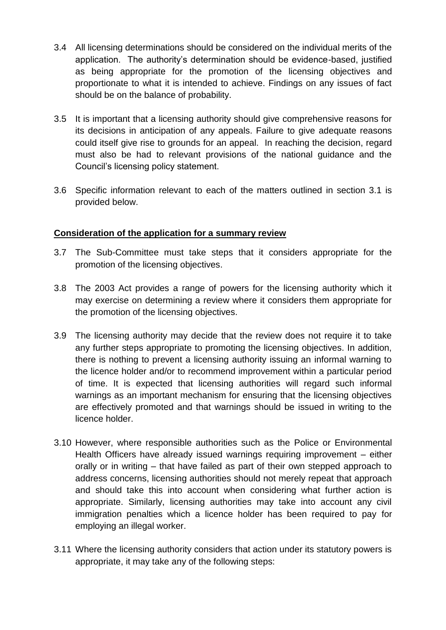- 3.4 All licensing determinations should be considered on the individual merits of the application. The authority's determination should be evidence-based, justified as being appropriate for the promotion of the licensing objectives and proportionate to what it is intended to achieve. Findings on any issues of fact should be on the balance of probability.
- 3.5 It is important that a licensing authority should give comprehensive reasons for its decisions in anticipation of any appeals. Failure to give adequate reasons could itself give rise to grounds for an appeal. In reaching the decision, regard must also be had to relevant provisions of the national guidance and the Council's licensing policy statement.
- 3.6 Specific information relevant to each of the matters outlined in section 3.1 is provided below.

## **Consideration of the application for a summary review**

- 3.7 The Sub-Committee must take steps that it considers appropriate for the promotion of the licensing objectives.
- 3.8 The 2003 Act provides a range of powers for the licensing authority which it may exercise on determining a review where it considers them appropriate for the promotion of the licensing objectives.
- 3.9 The licensing authority may decide that the review does not require it to take any further steps appropriate to promoting the licensing objectives. In addition, there is nothing to prevent a licensing authority issuing an informal warning to the licence holder and/or to recommend improvement within a particular period of time. It is expected that licensing authorities will regard such informal warnings as an important mechanism for ensuring that the licensing objectives are effectively promoted and that warnings should be issued in writing to the licence holder.
- 3.10 However, where responsible authorities such as the Police or Environmental Health Officers have already issued warnings requiring improvement – either orally or in writing – that have failed as part of their own stepped approach to address concerns, licensing authorities should not merely repeat that approach and should take this into account when considering what further action is appropriate. Similarly, licensing authorities may take into account any civil immigration penalties which a licence holder has been required to pay for employing an illegal worker.
- 3.11 Where the licensing authority considers that action under its statutory powers is appropriate, it may take any of the following steps: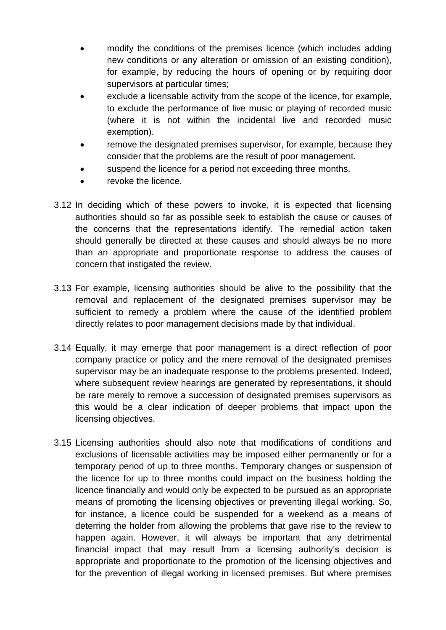- modify the conditions of the premises licence (which includes adding new conditions or any alteration or omission of an existing condition), for example, by reducing the hours of opening or by requiring door supervisors at particular times;
- exclude a licensable activity from the scope of the licence, for example, to exclude the performance of live music or playing of recorded music (where it is not within the incidental live and recorded music exemption).
- remove the designated premises supervisor, for example, because they consider that the problems are the result of poor management.
- suspend the licence for a period not exceeding three months.
- revoke the licence.
- 3.12 In deciding which of these powers to invoke, it is expected that licensing authorities should so far as possible seek to establish the cause or causes of the concerns that the representations identify. The remedial action taken should generally be directed at these causes and should always be no more than an appropriate and proportionate response to address the causes of concern that instigated the review.
- 3.13 For example, licensing authorities should be alive to the possibility that the removal and replacement of the designated premises supervisor may be sufficient to remedy a problem where the cause of the identified problem directly relates to poor management decisions made by that individual.
- 3.14 Equally, it may emerge that poor management is a direct reflection of poor company practice or policy and the mere removal of the designated premises supervisor may be an inadequate response to the problems presented. Indeed, where subsequent review hearings are generated by representations, it should be rare merely to remove a succession of designated premises supervisors as this would be a clear indication of deeper problems that impact upon the licensing objectives.
- 3.15 Licensing authorities should also note that modifications of conditions and exclusions of licensable activities may be imposed either permanently or for a temporary period of up to three months. Temporary changes or suspension of the licence for up to three months could impact on the business holding the licence financially and would only be expected to be pursued as an appropriate means of promoting the licensing objectives or preventing illegal working. So, for instance, a licence could be suspended for a weekend as a means of deterring the holder from allowing the problems that gave rise to the review to happen again. However, it will always be important that any detrimental financial impact that may result from a licensing authority's decision is appropriate and proportionate to the promotion of the licensing objectives and for the prevention of illegal working in licensed premises. But where premises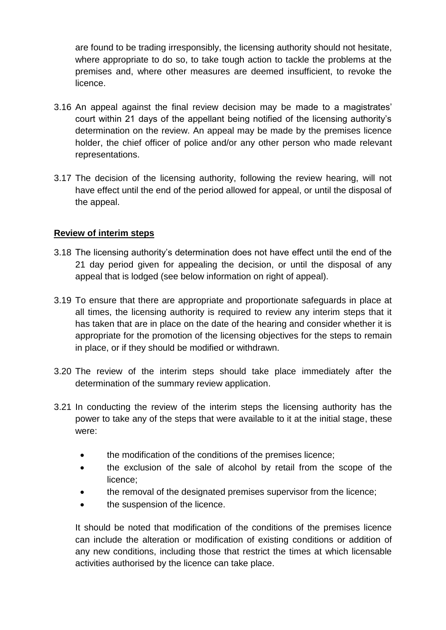are found to be trading irresponsibly, the licensing authority should not hesitate, where appropriate to do so, to take tough action to tackle the problems at the premises and, where other measures are deemed insufficient, to revoke the licence.

- 3.16 An appeal against the final review decision may be made to a magistrates' court within 21 days of the appellant being notified of the licensing authority's determination on the review. An appeal may be made by the premises licence holder, the chief officer of police and/or any other person who made relevant representations.
- 3.17 The decision of the licensing authority, following the review hearing, will not have effect until the end of the period allowed for appeal, or until the disposal of the appeal.

# **Review of interim steps**

- 3.18 The licensing authority's determination does not have effect until the end of the 21 day period given for appealing the decision, or until the disposal of any appeal that is lodged (see below information on right of appeal).
- 3.19 To ensure that there are appropriate and proportionate safeguards in place at all times, the licensing authority is required to review any interim steps that it has taken that are in place on the date of the hearing and consider whether it is appropriate for the promotion of the licensing objectives for the steps to remain in place, or if they should be modified or withdrawn.
- 3.20 The review of the interim steps should take place immediately after the determination of the summary review application.
- 3.21 In conducting the review of the interim steps the licensing authority has the power to take any of the steps that were available to it at the initial stage, these were:
	- the modification of the conditions of the premises licence;
	- the exclusion of the sale of alcohol by retail from the scope of the licence;
	- the removal of the designated premises supervisor from the licence;
	- the suspension of the licence.

It should be noted that modification of the conditions of the premises licence can include the alteration or modification of existing conditions or addition of any new conditions, including those that restrict the times at which licensable activities authorised by the licence can take place.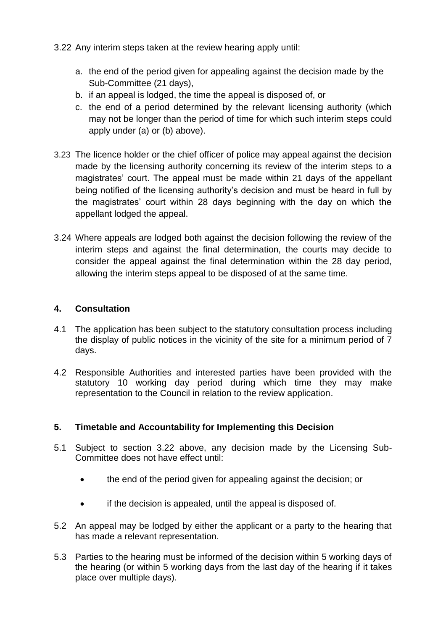- 3.22 Any interim steps taken at the review hearing apply until:
	- a. the end of the period given for appealing against the decision made by the Sub-Committee (21 days),
	- b. if an appeal is lodged, the time the appeal is disposed of, or
	- c. the end of a period determined by the relevant licensing authority (which may not be longer than the period of time for which such interim steps could apply under (a) or (b) above).
- 3.23 The licence holder or the chief officer of police may appeal against the decision made by the licensing authority concerning its review of the interim steps to a magistrates' court. The appeal must be made within 21 days of the appellant being notified of the licensing authority's decision and must be heard in full by the magistrates' court within 28 days beginning with the day on which the appellant lodged the appeal.
- 3.24 Where appeals are lodged both against the decision following the review of the interim steps and against the final determination, the courts may decide to consider the appeal against the final determination within the 28 day period, allowing the interim steps appeal to be disposed of at the same time.

### **4. Consultation**

- 4.1 The application has been subject to the statutory consultation process including the display of public notices in the vicinity of the site for a minimum period of 7 days.
- 4.2 Responsible Authorities and interested parties have been provided with the statutory 10 working day period during which time they may make representation to the Council in relation to the review application.

## **5. Timetable and Accountability for Implementing this Decision**

- 5.1 Subject to section 3.22 above, any decision made by the Licensing Sub-Committee does not have effect until:
	- the end of the period given for appealing against the decision; or
	- if the decision is appealed, until the appeal is disposed of.
- 5.2 An appeal may be lodged by either the applicant or a party to the hearing that has made a relevant representation.
- 5.3 Parties to the hearing must be informed of the decision within 5 working days of the hearing (or within 5 working days from the last day of the hearing if it takes place over multiple days).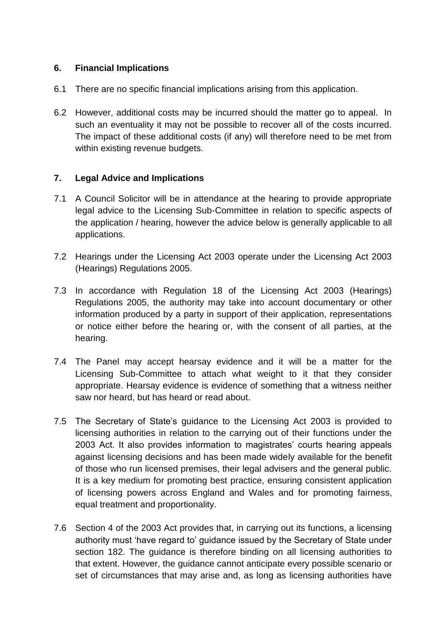## **6. Financial Implications**

- 6.1 There are no specific financial implications arising from this application.
- 6.2 However, additional costs may be incurred should the matter go to appeal. In such an eventuality it may not be possible to recover all of the costs incurred. The impact of these additional costs (if any) will therefore need to be met from within existing revenue budgets.

### **7. Legal Advice and Implications**

- 7.1 A Council Solicitor will be in attendance at the hearing to provide appropriate legal advice to the Licensing Sub-Committee in relation to specific aspects of the application / hearing, however the advice below is generally applicable to all applications.
- 7.2 Hearings under the Licensing Act 2003 operate under the Licensing Act 2003 (Hearings) Regulations 2005.
- 7.3 In accordance with Regulation 18 of the Licensing Act 2003 (Hearings) Regulations 2005, the authority may take into account documentary or other information produced by a party in support of their application, representations or notice either before the hearing or, with the consent of all parties, at the hearing.
- 7.4 The Panel may accept hearsay evidence and it will be a matter for the Licensing Sub-Committee to attach what weight to it that they consider appropriate. Hearsay evidence is evidence of something that a witness neither saw nor heard, but has heard or read about.
- 7.5 The Secretary of State's guidance to the Licensing Act 2003 is provided to licensing authorities in relation to the carrying out of their functions under the 2003 Act. It also provides information to magistrates' courts hearing appeals against licensing decisions and has been made widely available for the benefit of those who run licensed premises, their legal advisers and the general public. It is a key medium for promoting best practice, ensuring consistent application of licensing powers across England and Wales and for promoting fairness, equal treatment and proportionality.
- 7.6 Section 4 of the 2003 Act provides that, in carrying out its functions, a licensing authority must 'have regard to' guidance issued by the Secretary of State under section 182. The guidance is therefore binding on all licensing authorities to that extent. However, the guidance cannot anticipate every possible scenario or set of circumstances that may arise and, as long as licensing authorities have